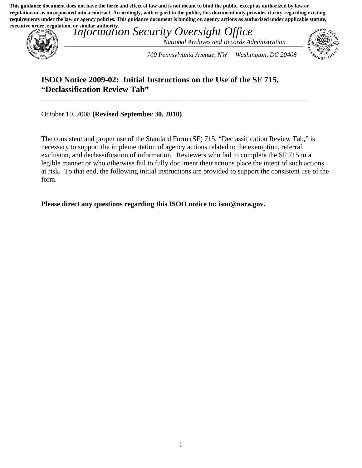**This guidance document does not have the force and effect of law and is not meant to bind the public, except as authorized by law or regulation or as incorporated into a contract. Accordingly, with regard to the public, this document only provides clarity regarding existing requirements under the law or agency policies. This guidance document is binding on agency actions as authorized under applicable statute, executive order, regulation, or similar authority.**



 *Information Security Oversight Office National Archives and Records Administration* 



 *700 Pennsylvania Avenue, NW Washington, DC 20408* 

## **ISOO Notice 2009-02: Initial Instructions on the Use of the SF 715, "Declassification Review Tab"**

\_\_\_\_\_\_\_\_\_\_\_\_\_\_\_\_\_\_\_\_\_\_\_\_\_\_\_\_\_\_\_\_\_\_\_\_\_\_\_\_\_\_\_\_\_\_\_\_\_\_\_\_\_\_\_\_\_\_\_\_\_\_\_\_\_\_\_\_\_\_\_\_\_\_\_

October 10, 2008 **(Revised September 30, 2010)** 

 form. The consistent and proper use of the Standard Form (SF) 715, "Declassification Review Tab," is necessary to support the implementation of agency actions related to the exemption, referral, exclusion, and declassification of information. Reviewers who fail to complete the SF 715 in a legible manner or who otherwise fail to fully document their actions place the intent of such actions at risk. To that end, the following initial instructions are provided to support the consistent use of the

**Please direct any questions regarding this ISOO notice to: [isoo@nara.gov.](mailto:isoo@nara.gov)**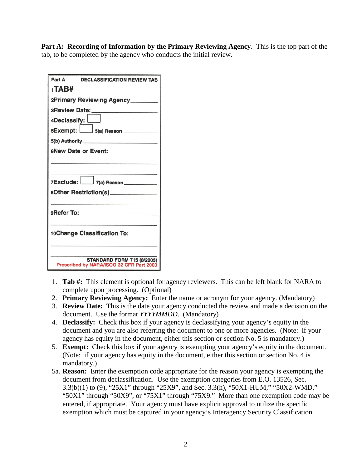**Part A: Recording of Information by the Primary Reviewing Agency**. This is the top part of the tab, to be completed by the agency who conducts the initial review.

| Part A<br><b>DECLASSIFICATION REVIEW TAB</b>                                  |
|-------------------------------------------------------------------------------|
| 1 <b>TAB#_________</b>                                                        |
| 2Primary Reviewing Agency_______                                              |
|                                                                               |
| 4Declassify:                                                                  |
| 5Exempt: 5(a) Reason __________                                               |
|                                                                               |
| 6New Date or Event:                                                           |
|                                                                               |
| 7Exclude: 7(a) Reason___________                                              |
| 80ther Restriction(s)_______________                                          |
|                                                                               |
| 9Refer To:____________________                                                |
| 10Change Classification To:                                                   |
| <b>STANDARD FORM 715 (8/2005)</b><br>Prescribed by NARA/ISOO 32 CFR Part 2003 |

- 1. **Tab #:** This element is optional for agency reviewers. This can be left blank for NARA to complete upon processing. (Optional)
- 2. **Primary Reviewing Agency:** Enter the name or acronym for your agency. (Mandatory)
- 3. **Review Date:** This is the date your agency conducted the review and made a decision on the document. Use the format *YYYYMMDD*. (Mandatory)
- 4. **Declassify:** Check this box if your agency is declassifying your agency's equity in the document and you are also referring the document to one or more agencies. (Note: if your agency has equity in the document, either this section or section No. 5 is mandatory.)
- agency has equity in the document, either this section or section No. 5 is mandatory.) 5. **Exempt:** Check this box if your agency is exempting your agency's equity in the document. mandatory.) (Note: if your agency has equity in the document, either this section or section No. 4 is
- mandatory.) 5a. **Reason:** Enter the exemption code appropriate for the reason your agency is exempting the document from declassification. Use the exemption categories from E.O. 13526, Sec. 3.3(b)(1) to (9), "25X1" through "25X9", and Sec. 3.3(h), "50X1-HUM," "50X2-WMD," "50X1" through "50X9", or "75X1" through "75X9." More than one exemption code may be entered, if appropriate. Your agency must have explicit approval to utilize the specific exemption which must be captured in your agency's Interagency Security Classification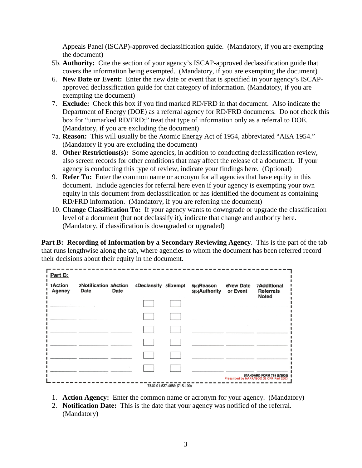Appeals Panel (ISCAP)-approved declassification guide. (Mandatory, if you are exempting the document)

- 5b. **Authority:** Cite the section of your agency's ISCAP-approved declassification guide that covers the information being exempted. (Mandatory, if you are exempting the document)
- 6. **New Date or Event:** Enter the new date or event that is specified in your agency's ISCAP- approved declassification guide for that category of information. (Mandatory, if you are exempting the document)
- box for "unmarked RD/FRD;" treat that type of information only as a referral to DOE. (Mandatory, if you are excluding the document) (Mandatory, if you are excluding the document) 7. **Exclude:** Check this box if you find marked RD/FRD in that document. Also indicate the Department of Energy (DOE) as a referral agency for RD/FRD documents. Do not check this
- 7a. **Reason:** This will usually be the Atomic Energy Act of 1954, abbreviated "AEA 1954." (Mandatory if you are excluding the document) (Mandatory if you are excluding the document)
- 8. **Other Restrictions(s):** Some agencies, in addition to conducting declassification review, also screen records for other conditions that may affect the release of a document. If your agency is conducting this type of review, indicate your findings here. (Optional)
- 9. **Refer To:** Enter the common name or acronym for all agencies that have equity in this document. Include agencies for referral here even if your agency is exempting your own equity in this document from declassification or has identified the document as containing RD/FRD information. (Mandatory, if you are referring the document)
- 10. **Change Classification To:** If your agency wants to downgrade or upgrade the classification level of a document (but not declassify it), indicate that change and authority here. (Mandatory, if classification is downgraded or upgraded)

**Part B: Recording of Information by a Secondary Reviewing Agency**. This is the part of the tab that runs lengthwise along the tab, where agencies to whom the document has been referred record their decisions about their equity in the document.

| 1Action<br><b>Agency</b> | 2Notification 3Action<br><b>Date</b> | <b>Date</b> | 4Declassify 5Exempt | 5(a)Reason<br>5(b)Authority | 6New Date<br>or Event | <b>7Additional</b><br><b>Referrals</b><br><b>Noted</b> |
|--------------------------|--------------------------------------|-------------|---------------------|-----------------------------|-----------------------|--------------------------------------------------------|
|                          |                                      |             |                     |                             |                       |                                                        |
|                          |                                      |             |                     |                             |                       |                                                        |
|                          |                                      |             |                     |                             |                       |                                                        |
|                          |                                      |             |                     |                             |                       |                                                        |
|                          |                                      |             |                     |                             |                       |                                                        |
|                          |                                      |             |                     |                             |                       |                                                        |

- 1. **Action Agency:** Enter the common name or acronym for your agency. (Mandatory)
- 2. **Notification Date:** This is the date that your agency was notified of the referral. (Mandatory)